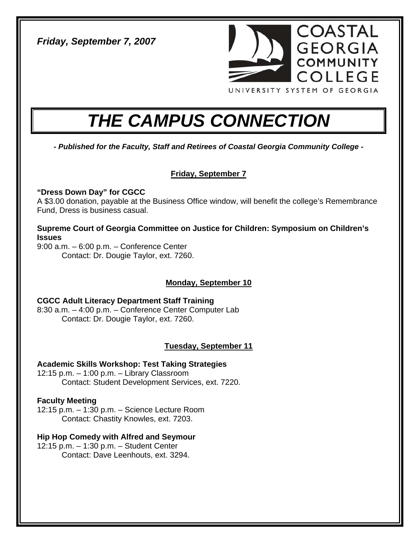*Friday, September 7, 2007* 



# *THE CAMPUS CONNECTION*

*- Published for the Faculty, Staff and Retirees of Coastal Georgia Community College -* 

# **Friday, September 7**

# **"Dress Down Day" for CGCC**

A \$3.00 donation, payable at the Business Office window, will benefit the college's Remembrance Fund, Dress is business casual.

**Supreme Court of Georgia Committee on Justice for Children: Symposium on Children's Issues** 

9:00 a.m. – 6:00 p.m. – Conference Center Contact: Dr. Dougie Taylor, ext. 7260.

# **Monday, September 10**

# **CGCC Adult Literacy Department Staff Training**

8:30 a.m. – 4:00 p.m. – Conference Center Computer Lab Contact: Dr. Dougie Taylor, ext. 7260.

# **Tuesday, September 11**

#### **Academic Skills Workshop: Test Taking Strategies**  12:15 p.m. – 1:00 p.m. – Library Classroom

Contact: Student Development Services, ext. 7220.

# **Faculty Meeting**

12:15 p.m. – 1:30 p.m. – Science Lecture Room Contact: Chastity Knowles, ext. 7203.

# **Hip Hop Comedy with Alfred and Seymour**

12:15 p.m. – 1:30 p.m. – Student Center Contact: Dave Leenhouts, ext. 3294.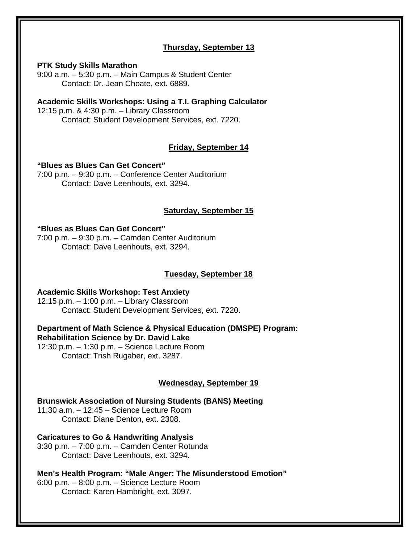# **Thursday, September 13**

#### **PTK Study Skills Marathon**

9:00 a.m. – 5:30 p.m. – Main Campus & Student Center Contact: Dr. Jean Choate, ext. 6889.

**Academic Skills Workshops: Using a T.I. Graphing Calculator**  12:15 p.m. & 4:30 p.m. – Library Classroom Contact: Student Development Services, ext. 7220.

# **Friday, September 14**

**"Blues as Blues Can Get Concert"**  7:00 p.m. – 9:30 p.m. – Conference Center Auditorium Contact: Dave Leenhouts, ext. 3294.

# **Saturday, September 15**

#### **"Blues as Blues Can Get Concert"**

7:00 p.m. – 9:30 p.m. – Camden Center Auditorium Contact: Dave Leenhouts, ext. 3294.

# **Tuesday, September 18**

# **Academic Skills Workshop: Test Anxiety**

12:15 p.m. – 1:00 p.m. – Library Classroom Contact: Student Development Services, ext. 7220.

**Department of Math Science & Physical Education (DMSPE) Program: Rehabilitation Science by Dr. David Lake** 

12:30 p.m. – 1:30 p.m. – Science Lecture Room Contact: Trish Rugaber, ext. 3287.

# **Wednesday, September 19**

**Brunswick Association of Nursing Students (BANS) Meeting**  11:30 a.m. – 12:45 – Science Lecture Room Contact: Diane Denton, ext. 2308.

**Caricatures to Go & Handwriting Analysis**  3:30 p.m. – 7:00 p.m. – Camden Center Rotunda

Contact: Dave Leenhouts, ext. 3294.

**Men's Health Program: "Male Anger: The Misunderstood Emotion"** 

6:00 p.m. – 8:00 p.m. – Science Lecture Room Contact: Karen Hambright, ext. 3097.